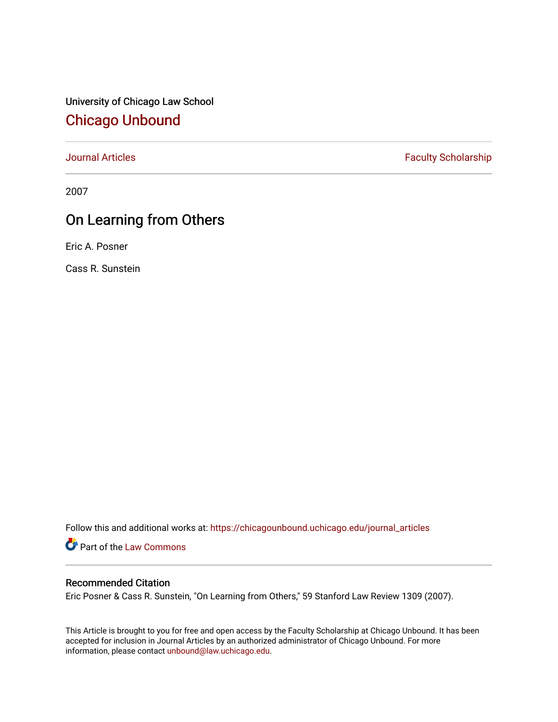University of Chicago Law School [Chicago Unbound](https://chicagounbound.uchicago.edu/)

[Journal Articles](https://chicagounbound.uchicago.edu/journal_articles) **Faculty Scholarship Faculty Scholarship** 

2007

## On Learning from Others

Eric A. Posner

Cass R. Sunstein

Follow this and additional works at: [https://chicagounbound.uchicago.edu/journal\\_articles](https://chicagounbound.uchicago.edu/journal_articles?utm_source=chicagounbound.uchicago.edu%2Fjournal_articles%2F1740&utm_medium=PDF&utm_campaign=PDFCoverPages) 

Part of the [Law Commons](http://network.bepress.com/hgg/discipline/578?utm_source=chicagounbound.uchicago.edu%2Fjournal_articles%2F1740&utm_medium=PDF&utm_campaign=PDFCoverPages)

#### Recommended Citation

Eric Posner & Cass R. Sunstein, "On Learning from Others," 59 Stanford Law Review 1309 (2007).

This Article is brought to you for free and open access by the Faculty Scholarship at Chicago Unbound. It has been accepted for inclusion in Journal Articles by an authorized administrator of Chicago Unbound. For more information, please contact [unbound@law.uchicago.edu](mailto:unbound@law.uchicago.edu).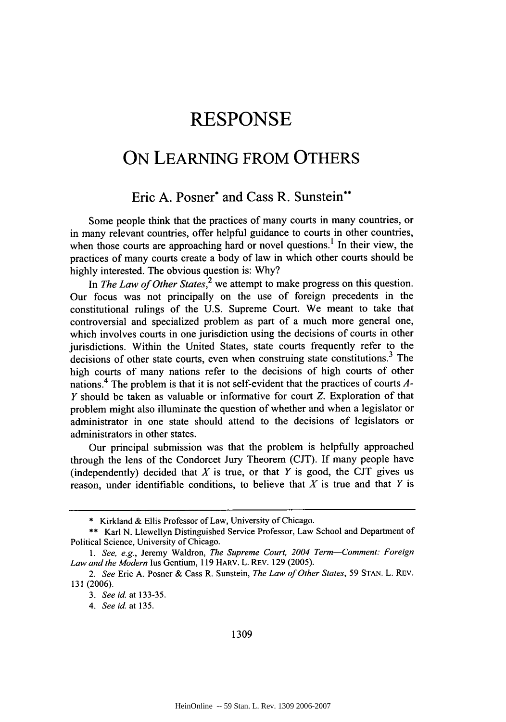# **RESPONSE**

### **ON LEARNING** FROM OTHERS

### Eric **A.** Posner\* and Cass R. Sunstein\*\*

Some people think that the practices of many courts in many countries, or in many relevant countries, offer helpful guidance to courts in other countries, when those courts are approaching hard or novel questions.' In their view, the practices of many courts create a body of law in which other courts should be highly interested. The obvious question is: Why?

In *The Law of Other States*,<sup>2</sup> we attempt to make progress on this question. Our focus was not principally on the use of foreign precedents in the constitutional rulings of the U.S. Supreme Court. We meant to take that controversial and specialized problem as part of a much more general one, which involves courts in one jurisdiction using the decisions of courts in other jurisdictions. Within the United States, state courts frequently refer to the decisions of other state courts, even when construing state constitutions.<sup>3</sup> The high courts of many nations refer to the decisions of high courts of other nations.<sup>4</sup> The problem is that it is not self-evident that the practices of courts  $A$ -Y should be taken as valuable or informative for court *Z.* Exploration of that problem might also illuminate the question of whether and when a legislator or administrator in one state should attend to the decisions of legislators or administrators in other states.

Our principal submission was that the problem is helpfully approached through the lens of the Condorcet Jury Theorem (CJT). If many people have (independently) decided that  $X$  is true, or that  $Y$  is good, the CJT gives us reason, under identifiable conditions, to believe that *X* is true and that *Y* is

1309

<sup>\*</sup> Kirkland & Ellis Professor of Law, University of Chicago.

<sup>\*\*</sup> Karl N. Llewellyn Distinguished Service Professor, Law School and Department of Political Science, University of Chicago.

*<sup>1.</sup> See, e.g.,* Jeremy Waldron, *The Supreme Court, 2004 Term-Comment: Foreign Law and the Modern* lus Gentium, 119 HARV. L. REv. 129 (2005).

*<sup>2.</sup> See* Eric A. Posner & Cass R. Sunstein, *The Law of Other States,* 59 STAN. L. REV. 131 (2006).

*<sup>3.</sup> See id.* at 133-35.

*<sup>4.</sup> See id.* at 135.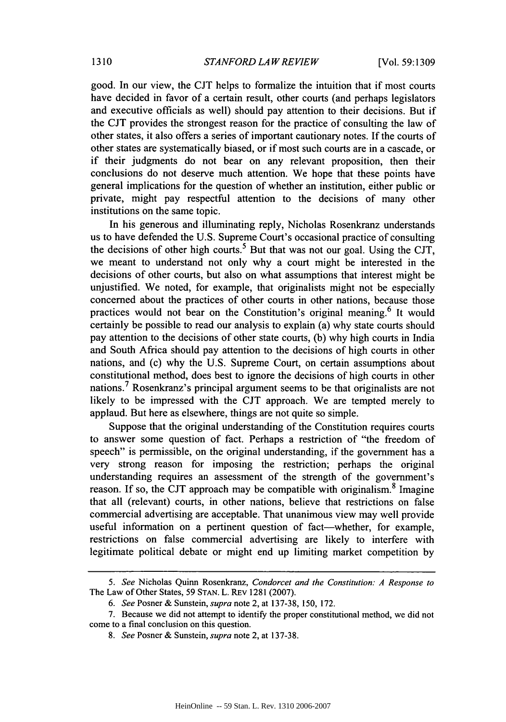good. In our view, the CJT helps to formalize the intuition that if most courts have decided in favor of a certain result, other courts (and perhaps legislators and executive officials as well) should pay attention to their decisions. But if the CJT provides the strongest reason for the practice of consulting the law of other states, it also offers a series of important cautionary notes. If the courts of other states are systematically biased, or if most such courts are in a cascade, or if their judgments do not bear on any relevant proposition, then their conclusions do not deserve much attention. We hope that these points have general implications for the question of whether an institution, either public or private, might pay respectful attention to the decisions of many other institutions on the same topic.

In his generous and illuminating reply, Nicholas Rosenkranz understands us to have defended the U.S. Supreme Court's occasional practice of consulting the decisions of other high courts.<sup>5</sup> But that was not our goal. Using the CJT, we meant to understand not only why a court might be interested in the decisions of other courts, but also on what assumptions that interest might be unjustified. We noted, for example, that originalists might not be especially concerned about the practices of other courts in other nations, because those practices would not bear on the Constitution's original meaning.<sup>6</sup> It would certainly be possible to read our analysis to explain (a) why state courts should pay attention to the decisions of other state courts, (b) why high courts in India and South Africa should pay attention to the decisions of high courts in other nations, and (c) why the U.S. Supreme Court, on certain assumptions about constitutional method, does best to ignore the decisions of high courts in other nations.<sup>7</sup> Rosenkranz's principal argument seems to be that originalists are not likely to be impressed with the CJT approach. We are tempted merely to applaud. But here as elsewhere, things are not quite so simple.

Suppose that the original understanding of the Constitution requires courts to answer some question of fact. Perhaps a restriction of "the freedom of speech" is permissible, on the original understanding, if the government has a very strong reason for imposing the restriction; perhaps the original understanding requires an assessment of the strength of the government's reason. If so, the CJT approach may be compatible with originalism.<sup>8</sup> Imagine that all (relevant) courts, in other nations, believe that restrictions on false commercial advertising are acceptable. That unanimous view may well provide useful information on a pertinent question of fact-whether, for example, restrictions on false commercial advertising are likely to interfere with legitimate political debate or might end up limiting market competition by

*<sup>5.</sup> See* Nicholas Quinn Rosenkranz, *Condorcet and the Constitution: A Response to* The Law of Other States, 59 STAN. L. REv 1281 (2007).

*<sup>6.</sup> See* Posner & Sunstein, *supra* note 2, at 137-38, 150, 172.

**<sup>7.</sup>** Because we did not attempt to identify the proper constitutional method, we did not come to a final conclusion on this question.

*<sup>8.</sup> See* Posner & Sunstein, *supra* note 2, at 137-38.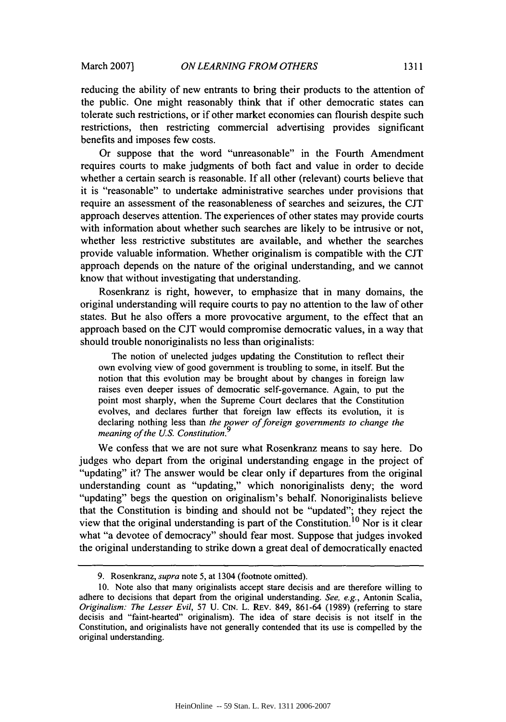reducing the ability of new entrants to bring their products to the attention of the public. One might reasonably think that if other democratic states can tolerate such restrictions, or if other market economies can flourish despite such restrictions, then restricting commercial advertising provides significant benefits and imposes few costs.

Or suppose that the word "unreasonable" in the Fourth Amendment requires courts to make judgments of both fact and value in order to decide whether a certain search is reasonable. **If** all other (relevant) courts believe that it is "reasonable" to undertake administrative searches under provisions that require an assessment of the reasonableness of searches and seizures, the **CJT** approach deserves attention. The experiences of other states may provide courts with information about whether such searches are likely to be intrusive or not, whether less restrictive substitutes are available, and whether the searches provide valuable information. Whether originalism is compatible with the **CJT** approach depends on the nature of the original understanding, and we cannot know that without investigating that understanding.

Rosenkranz is right, however, to emphasize that in many domains, the original understanding will require courts to pay no attention to the law of other states. But he also offers a more provocative argument, to the effect that an approach based on the **CJT** would compromise democratic values, in a way that should trouble nonoriginalists no less than originalists:

The notion of unelected judges updating the Constitution to reflect their own evolving view of good government is troubling to some, in itself. But the notion that this evolution may be brought about **by** changes in foreign law raises even deeper issues of democratic self-governance. Again, to put the point most sharply, when the Supreme Court declares that the Constitution evolves, and declares further that foreign law effects its evolution, it is declaring nothing less than *the power of foreign governments to change the meaning of the U.S. Constitution.9*

We confess that we are not sure what Rosenkranz means to say here. Do judges who depart from the original understanding engage in the project of "updating" it? The answer would be clear only if departures from the original understanding count as "updating," which nonoriginalists deny; the word "updating" begs the question on originalism's behalf. Nonoriginalists believe that the Constitution is binding and should not be "updated"; they reject the view that the original understanding is part of the Constitution.<sup>10</sup> Nor is it clear what "a devotee of democracy" should fear most. Suppose that judges invoked the original understanding to strike down a great deal of democratically enacted

**<sup>9.</sup>** Rosenkranz, *supra* note **5,** at 1304 (footnote omitted).

**<sup>10.</sup>** Note also that many originalists accept stare decisis and are therefore willing to adhere to decisions that depart from the original understanding. *See, e.g.,* Antonin Scalia, *Originalism: The Lesser Evil,* **57 U. CIN.** *L.* REv. 849, **861-64 (1989)** (referring to stare decisis and "faint-hearted" originalism). The idea of stare decisis is not itself in the Constitution, and originalists have not generally contended that its use is compelled **by** the original understanding.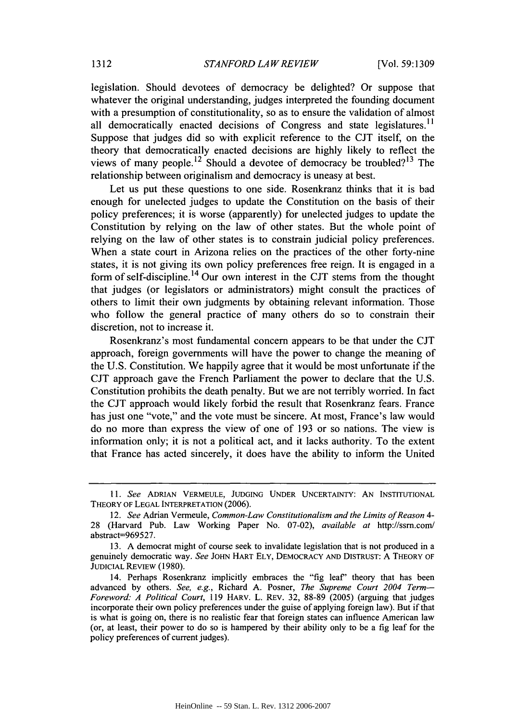legislation. Should devotees of democracy be delighted? Or suppose that whatever the original understanding, judges interpreted the founding document with a presumption of constitutionality, so as to ensure the validation of almost all democratically enacted decisions of Congress and state legislatures.<sup>11</sup> Suppose that judges did so with explicit reference to the CJT itself, on the theory that democratically enacted decisions are highly likely to reflect the views of many people.<sup>12</sup> Should a devotee of democracy be troubled?<sup>13</sup> The relationship between originalism and democracy is uneasy at best.

Let us put these questions to one side. Rosenkranz thinks that it is bad enough for unelected judges to update the Constitution on the basis of their policy preferences; it is worse (apparently) for unelected judges to update the Constitution by relying on the law of other states. But the whole point of relying on the law of other states is to constrain judicial policy preferences. When a state court in Arizona relies on the practices of the other forty-nine states, it is not giving its own policy preferences free reign. It is engaged in a form of self-discipline. 14 Our own interest in the CJT stems from the thought that judges (or legislators or administrators) might consult the practices of others to limit their own judgments by obtaining relevant information. Those who follow the general practice of many others do so to constrain their discretion, not to increase it.

Rosenkranz's most fundamental concern appears to be that under the CJT approach, foreign governments will have the power to change the meaning of the U.S. Constitution. We happily agree that it would be most unfortunate if the CJT approach gave the French Parliament the power to declare that the U.S. Constitution prohibits the death penalty. But we are not terribly worried. In fact the CJT approach would likely forbid the result that Rosenkranz fears. France has just one "vote," and the vote must be sincere. At most, France's law would do no more than express the view of one of 193 or so nations. The view is information only; it is not a political act, and it lacks authority. To the extent that France has acted sincerely, it does have the ability to inform the United

*<sup>11.</sup> See* **ADRIAN** VERMEULE, **JUDGING UNDER UNCERTAINTY: AN INSTITUTIONAL** THEORY OF **LEGAL** INTERPRETATION (2006).

<sup>12.</sup> *See* Adrian Vermeule, *Common-Law Constitutionalism and the Limits of Reason 4-* 28 (Harvard Pub. Law Working Paper No. 07-02), *available at* http://ssm.coin/ abstract=969527.

<sup>13.</sup> A democrat might of course seek to invalidate legislation that is not produced in a genuinely democratic way. *See* JOHN HART ELY, DEMOCRACY **AND** DISTRUST: A THEORY OF **JUDICIAL** REVIEw (1980).

<sup>14.</sup> Perhaps Rosenkranz implicitly embraces the "fig leaf' theory that has been advanced **by** others. *See, e.g.,* Richard A. Posner, *The Supreme Court 2004 Term-Foreword. A Political Court,* **119** HARV. L. REv. **32,** 88-89 (2005) (arguing that judges incorporate their own policy preferences under the guise of applying foreign law). But if that is what is going on, there is no realistic fear that foreign states can influence American law (or, at least, their power to do so is hampered **by** their ability only to be a fig leaf for the policy preferences of current judges).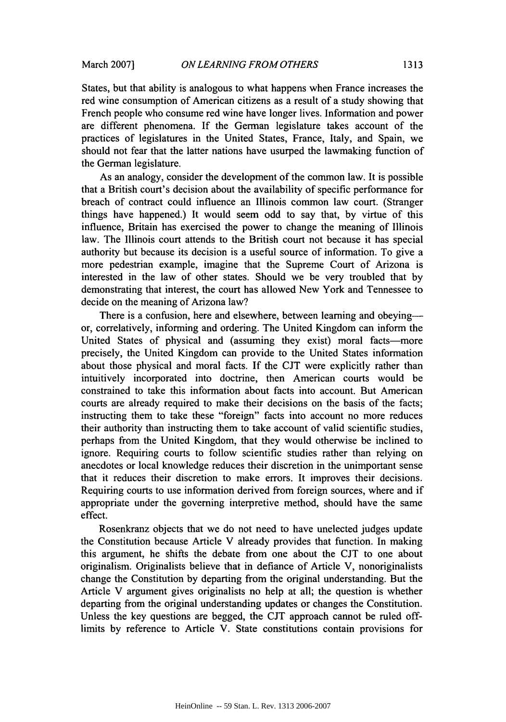States, but that ability is analogous to what happens when France increases the red wine consumption of American citizens as a result of a study showing that French people who consume red wine have longer lives. Information and power are different phenomena. If the German legislature takes account of the practices of legislatures in the United States, France, Italy, and Spain, we should not fear that the latter nations have usurped the lawmaking function of the German legislature.

As an analogy, consider the development of the common law. It is possible that a British court's decision about the availability of specific performance for breach of contract could influence an Illinois common law court. (Stranger things have happened.) It would seem odd to say that, by virtue of this influence, Britain has exercised the power to change the meaning of Illinois law. The Illinois court attends to the British court not because it has special authority but because its decision is a useful source of information. To give a more pedestrian example, imagine that the Supreme Court of Arizona is interested in the law of other states. Should we be very troubled that by demonstrating that interest, the court has allowed New York and Tennessee to decide on the meaning of Arizona law?

There is a confusion, here and elsewhere, between learning and obeying or, correlatively, informing and ordering. The United Kingdom can inform the United States of physical and (assuming they exist) moral facts-more precisely, the United Kingdom can provide to the United States information about those physical and moral facts. If the CJT were explicitly rather than intuitively incorporated into doctrine, then American courts would be constrained to take this information about facts into account. But American courts are already required to make their decisions on the basis of the facts; instructing them to take these "foreign" facts into account no more reduces their authority than instructing them to take account of valid scientific studies, perhaps from the United Kingdom, that they would otherwise be inclined to ignore. Requiring courts to follow scientific studies rather than relying on anecdotes or local knowledge reduces their discretion in the unimportant sense that it reduces their discretion to make errors. It improves their decisions. Requiring courts to use information derived from foreign sources, where and if appropriate under the governing interpretive method, should have the same effect.

Rosenkranz objects that we do not need to have unelected judges update the Constitution because Article V already provides that function. In making this argument, he shifts the debate from one about the **CJT** to one about originalism. Originalists believe that in defiance of Article V, nonoriginalists change the Constitution **by** departing from the original understanding. But the Article V argument gives originalists no help at all; the question is whether departing from the original understanding updates or changes the Constitution. Unless the key questions are begged, the **CJT** approach cannot be ruled offlimits **by** reference to Article V. State constitutions contain provisions for